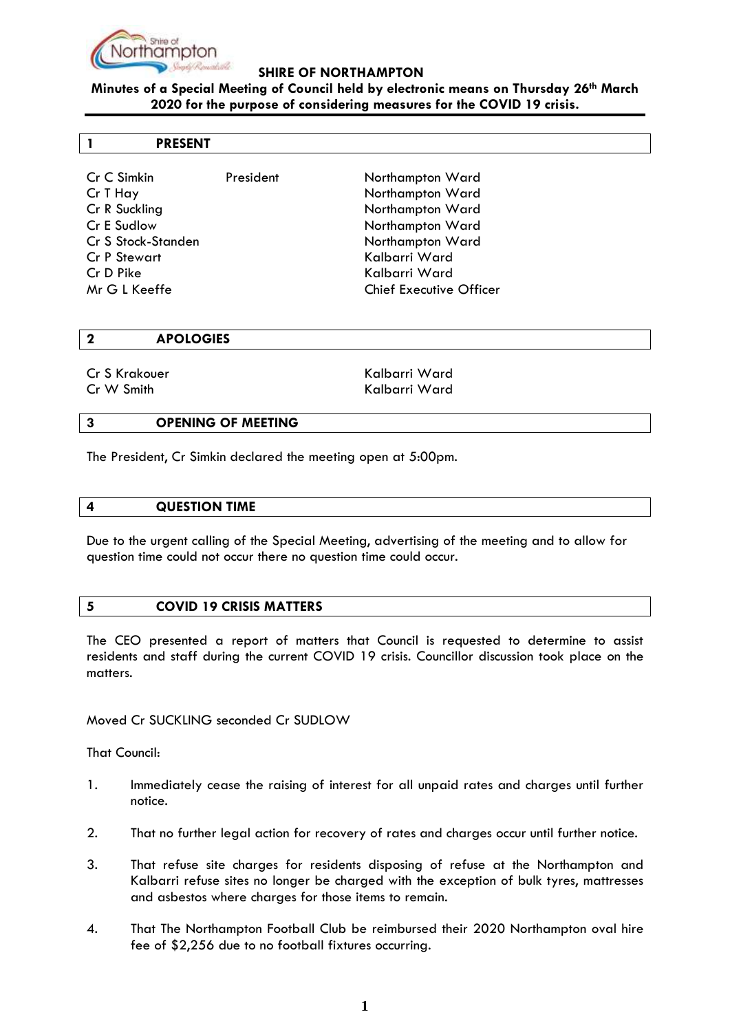

## **SHIRE OF NORTHAMPTON**

## **Minutes of a Special Meeting of Council held by electronic means on Thursday 26th March 2020 for the purpose of considering measures for the COVID 19 crisis.**

#### **1 PRESENT**

| Cr C Simkin<br>Cr T Hay                   | President | Northampton Ward<br>Northampton Ward            |
|-------------------------------------------|-----------|-------------------------------------------------|
| Cr R Suckling<br>Cr E Sudlow              |           | Northampton Ward<br>Northampton Ward            |
| Cr S Stock-Standen<br><b>Cr P Stewart</b> |           | Northampton Ward<br>Kalbarri Ward               |
| Cr D Pike<br>Mr G L Keeffe                |           | Kalbarri Ward<br><b>Chief Executive Officer</b> |

#### **2 APOLOGIES**

Cr S Krakouer North Cr S Krakouer North Kalbarri Ward Cr W Smith Kalbarri Ward

### **3 OPENING OF MEETING**

The President, Cr Simkin declared the meeting open at 5:00pm.

#### **4 QUESTION TIME**

Due to the urgent calling of the Special Meeting, advertising of the meeting and to allow for question time could not occur there no question time could occur.

#### **5 COVID 19 CRISIS MATTERS**

The CEO presented a report of matters that Council is requested to determine to assist residents and staff during the current COVID 19 crisis. Councillor discussion took place on the matters.

Moved Cr SUCKLING seconded Cr SUDLOW

That Council:

- 1. Immediately cease the raising of interest for all unpaid rates and charges until further notice.
- 2. That no further legal action for recovery of rates and charges occur until further notice.
- 3. That refuse site charges for residents disposing of refuse at the Northampton and Kalbarri refuse sites no longer be charged with the exception of bulk tyres, mattresses and asbestos where charges for those items to remain.
- 4. That The Northampton Football Club be reimbursed their 2020 Northampton oval hire fee of \$2,256 due to no football fixtures occurring.